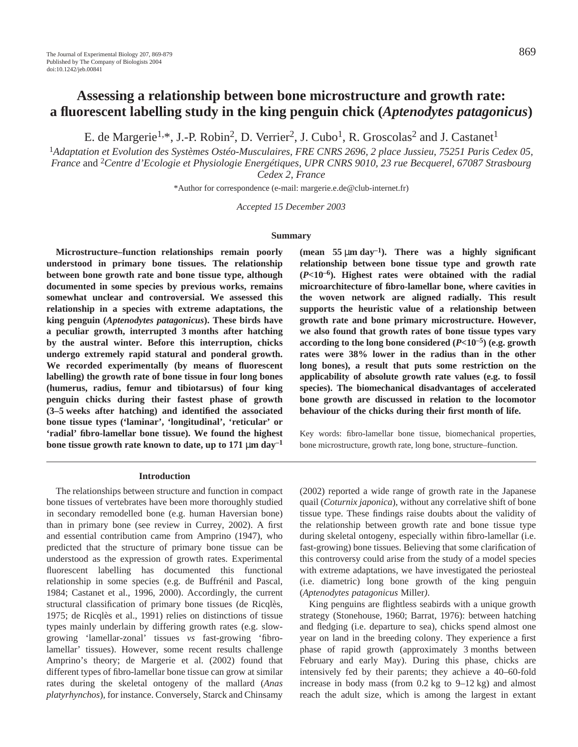# **Assessing a relationship between bone microstructure and growth rate: a fluorescent labelling study in the king penguin chick (***Aptenodytes patagonicus***)**

E. de Margerie<sup>1,\*</sup>, J.-P. Robin<sup>2</sup>, D. Verrier<sup>2</sup>, J. Cubo<sup>1</sup>, R. Groscolas<sup>2</sup> and J. Castanet<sup>1</sup>

<sup>1</sup>*Adaptation et Evolution des Systèmes Ostéo-Musculaires, FRE CNRS 2696, 2 place Jussieu, 75251 Paris Cedex 05, France* and 2*Centre d'Ecologie et Physiologie Energétiques, UPR CNRS 9010, 23 rue Becquerel, 67087 Strasbourg Cedex 2, France*

\*Author for correspondence (e-mail: margerie.e.de@club-internet.fr)

*Accepted 15 December 2003*

#### **Summary**

**Microstructure–function relationships remain poorly understood in primary bone tissues. The relationship between bone growth rate and bone tissue type, although documented in some species by previous works, remains somewhat unclear and controversial. We assessed this relationship in a species with extreme adaptations, the king penguin (***Aptenodytes patagonicus***). These birds have** a peculiar growth, interrupted 3 months after hatching **by the austral winter. Before this interruption, chicks undergo extremely rapid statural and ponderal growth. We recorded experimentally (by means of fluorescent labelling) the growth rate of bone tissue in four long bones (humerus, radius, femur and tibiotarsus) of four king penguin chicks during their fastest phase of growth (3–5·weeks after hatching) and identified the associated bone tissue types ('laminar', 'longitudinal', 'reticular' or 'radial' fibro-lamellar bone tissue). We found the highest** bone tissue growth rate known to date, up to  $171 \mu m \text{ day}^{-1}$ 

#### **Introduction**

The relationships between structure and function in compact bone tissues of vertebrates have been more thoroughly studied in secondary remodelled bone (e.g. human Haversian bone) than in primary bone (see review in Currey, 2002). A first and essential contribution came from Amprino (1947), who predicted that the structure of primary bone tissue can be understood as the expression of growth rates. Experimental fluorescent labelling has documented this functional relationship in some species (e.g. de Buffrénil and Pascal, 1984; Castanet et al., 1996, 2000). Accordingly, the current structural classification of primary bone tissues (de Ricqlès, 1975; de Ricqlès et al., 1991) relies on distinctions of tissue types mainly underlain by differing growth rates (e.g. slowgrowing 'lamellar-zonal' tissues *vs* fast-growing 'fibrolamellar' tissues). However, some recent results challenge Amprino's theory; de Margerie et al. (2002) found that different types of fibro-lamellar bone tissue can grow at similar rates during the skeletal ontogeny of the mallard (*Anas platyrhynchos*), for instance. Conversely, Starck and Chinsamy

(mean  $55 \mu m \text{ day}^{-1}$ ). There was a highly significant **relationship between bone tissue type and growth rate (***P***<10–6). Highest rates were obtained with the radial microarchitecture of fibro-lamellar bone, where cavities in the woven network are aligned radially. This result supports the heuristic value of a relationship between growth rate and bone primary microstructure. However, we also found that growth rates of bone tissue types vary according to the long bone considered (***P***<10–5) (e.g. growth rates were 38% lower in the radius than in the other long bones), a result that puts some restriction on the applicability of absolute growth rate values (e.g. to fossil species). The biomechanical disadvantages of accelerated bone growth are discussed in relation to the locomotor behaviour of the chicks during their first month of life.** 

Key words: fibro-lamellar bone tissue, biomechanical properties, bone microstructure, growth rate, long bone, structure–function.

(2002) reported a wide range of growth rate in the Japanese quail (*Coturnix japonica*), without any correlative shift of bone tissue type. These findings raise doubts about the validity of the relationship between growth rate and bone tissue type during skeletal ontogeny, especially within fibro-lamellar (i.e. fast-growing) bone tissues. Believing that some clarification of this controversy could arise from the study of a model species with extreme adaptations, we have investigated the periosteal (i.e. diametric) long bone growth of the king penguin (*Aptenodytes patagonicus* Miller*)*.

King penguins are flightless seabirds with a unique growth strategy (Stonehouse, 1960; Barrat, 1976): between hatching and fledging (i.e. departure to sea), chicks spend almost one year on land in the breeding colony. They experience a first phase of rapid growth (approximately 3 months between February and early May). During this phase, chicks are intensively fed by their parents; they achieve a 40–60-fold increase in body mass (from  $0.2 \text{ kg}$  to  $9-12 \text{ kg}$ ) and almost reach the adult size, which is among the largest in extant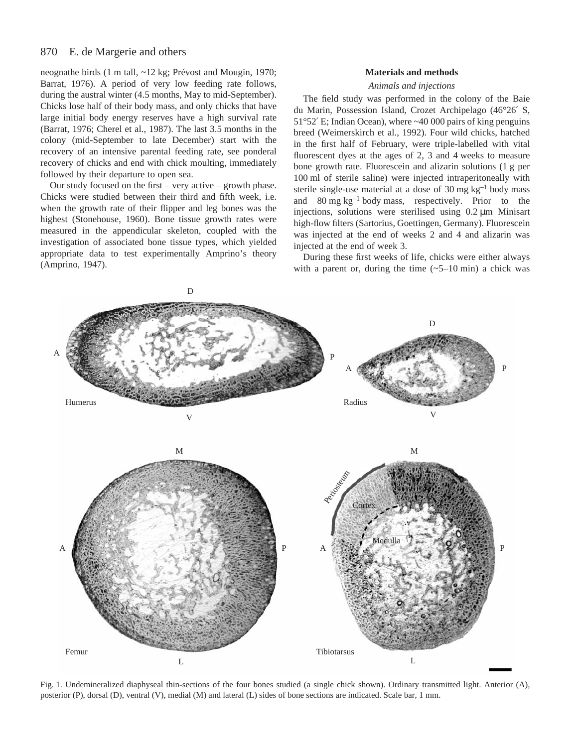#### 870 E. de Margerie and others

neognathe birds (1 m tall, ~12 kg; Prévost and Mougin, 1970; Barrat, 1976). A period of very low feeding rate follows, during the austral winter (4.5 months, May to mid-September). Chicks lose half of their body mass, and only chicks that have large initial body energy reserves have a high survival rate (Barrat, 1976; Cherel et al., 1987). The last 3.5 months in the colony (mid-September to late December) start with the recovery of an intensive parental feeding rate, see ponderal recovery of chicks and end with chick moulting, immediately followed by their departure to open sea.

Our study focused on the first – very active – growth phase. Chicks were studied between their third and fifth week, i.e. when the growth rate of their flipper and leg bones was the highest (Stonehouse, 1960). Bone tissue growth rates were measured in the appendicular skeleton, coupled with the investigation of associated bone tissue types, which yielded appropriate data to test experimentally Amprino's theory (Amprino, 1947).

#### **Materials and methods**

#### *Animals and injections*

The field study was performed in the colony of the Baie du Marin, Possession Island, Crozet Archipelago (46°26′ S,  $51^{\circ}52'$  E; Indian Ocean), where  $\sim$ 40 000 pairs of king penguins breed (Weimerskirch et al., 1992). Four wild chicks, hatched in the first half of February, were triple-labelled with vital fluorescent dyes at the ages of  $2$ ,  $3$  and  $4$  weeks to measure bone growth rate. Fluorescein and alizarin solutions (1 g per 100 ml of sterile saline) were injected intraperitoneally with sterile single-use material at a dose of 30 mg  $kg^{-1}$  body mass and  $80 \text{ mg kg}^{-1}$  body mass, respectively. Prior to the injections, solutions were sterilised using  $0.2 \mu$ m Minisart high-flow filters (Sartorius, Goettingen, Germany). Fluorescein was injected at the end of weeks 2 and 4 and alizarin was injected at the end of week 3.

During these first weeks of life, chicks were either always with a parent or, during the time  $(-5-10 \text{ min})$  a chick was



Fig. 1. Undemineralized diaphyseal thin-sections of the four bones studied (a single chick shown). Ordinary transmitted light. Anterior (A), posterior  $(P)$ , dorsal  $(D)$ , ventral  $(V)$ , medial  $(M)$  and lateral  $(L)$  sides of bone sections are indicated. Scale bar, 1 mm.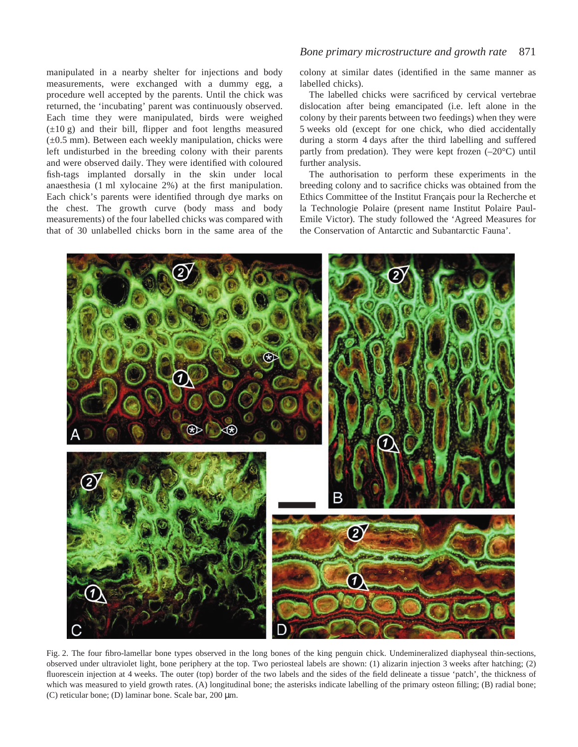manipulated in a nearby shelter for injections and body measurements, were exchanged with a dummy egg, a procedure well accepted by the parents. Until the chick was returned, the 'incubating' parent was continuously observed. Each time they were manipulated, birds were weighed  $(\pm 10 \text{ g})$  and their bill, flipper and foot lengths measured  $(\pm 0.5$  mm). Between each weekly manipulation, chicks were left undisturbed in the breeding colony with their parents and were observed daily. They were identified with coloured fish-tags implanted dorsally in the skin under local anaesthesia (1 ml xylocaine 2%) at the first manipulation. Each chick's parents were identified through dye marks on the chest. The growth curve (body mass and body measurements) of the four labelled chicks was compared with that of 30 unlabelled chicks born in the same area of the

# *Bone primary microstructure and growth rate* 871

colony at similar dates (identified in the same manner as labelled chicks).

The labelled chicks were sacrificed by cervical vertebrae dislocation after being emancipated (i.e. left alone in the colony by their parents between two feedings) when they were 5 weeks old (except for one chick, who died accidentally during a storm 4 days after the third labelling and suffered partly from predation). They were kept frozen  $(-20^{\circ}C)$  until further analysis.

The authorisation to perform these experiments in the breeding colony and to sacrifice chicks was obtained from the Ethics Committee of the Institut Français pour la Recherche et la Technologie Polaire (present name Institut Polaire Paul-Emile Victor). The study followed the 'Agreed Measures for the Conservation of Antarctic and Subantarctic Fauna'.



Fig. 2. The four fibro-lamellar bone types observed in the long bones of the king penguin chick. Undemineralized diaphyseal thin-sections, observed under ultraviolet light, bone periphery at the top. Two periosteal labels are shown: (1) alizarin injection 3·weeks after hatching; (2) fluorescein injection at 4 weeks. The outer (top) border of the two labels and the sides of the field delineate a tissue 'patch', the thickness of which was measured to yield growth rates. (A) longitudinal bone; the asterisks indicate labelling of the primary osteon filling; (B) radial bone; (C) reticular bone; (D) laminar bone. Scale bar,  $200 \mu m$ .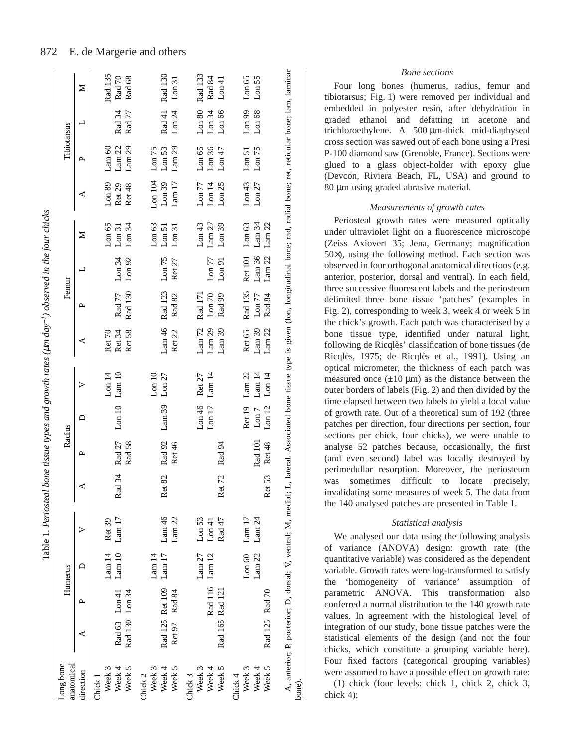| anatomical<br>Long bone |                 |                 | Humerus           |                    |                        | Radius           |                    |                    |                   | Femur              |                       |                       |                                        | Tibiotarsus                            |                    |                  |
|-------------------------|-----------------|-----------------|-------------------|--------------------|------------------------|------------------|--------------------|--------------------|-------------------|--------------------|-----------------------|-----------------------|----------------------------------------|----------------------------------------|--------------------|------------------|
| direction               | ⋖               | $\sim$          | ≏                 | ⋗                  | ⋖                      | д                | ≏                  | >                  | ⋖                 | ≏                  | ᆜ                     | ⋝                     | ⋖                                      | д                                      | ᆜ                  | Z                |
| Week 3<br>Chick 1       |                 |                 | $\frac{14}{ }$    | Ret 39             |                        |                  |                    | L <sub>on</sub> 14 | Ret <sub>70</sub> |                    |                       | $L$ on 65             | Lon 89                                 | Lam <sub>60</sub>                      |                    | Rad 135          |
| Week 5<br>Week 4        | Rad 130 Lon 34  | Rad 63 Lon 41   | Lam10             | Lam17              | Rad 34                 | Rad 27<br>Rad 58 | L <sub>on 10</sub> | Lam10              | Ret 34<br>Ret 58  | Rad 130<br>Rad 77  | Lon 34<br>$L$ on $92$ | Lon $34$<br>$L$ on 31 | Ret <sub>29</sub><br>Ret <sub>48</sub> | Lam <sub>22</sub><br>Lam <sub>29</sub> | Rad 34<br>Rad 77   | Rad 70<br>Rad 68 |
| Chick <sub>2</sub>      |                 |                 |                   |                    |                        |                  |                    |                    |                   |                    |                       |                       |                                        |                                        |                    |                  |
| Week 3                  |                 |                 | Lam14             |                    |                        |                  |                    | L <sub>on 10</sub> |                   |                    |                       | $L$ on 63             | Lon 104                                | $L$ on $75$                            |                    |                  |
| Week 4                  |                 | Rad 125 Ret 109 | Lam17             | Lam $46$           | $2e$ t 82<br>$\approx$ | Rad 92           | Lam39              | $L$ on 27          | Lam <sub>46</sub> | Rad 123            | Lon 75                | $L$ on 51             | $Lon$ 39                               | L <sub>on</sub> 53                     | Rad 41             | Rad 130          |
| Week 5                  |                 | Ret 97 Rad 84   |                   | Lam 22             |                        | Ret 46           |                    |                    | Ret <sub>22</sub> | Rad 82             | Ret 27                | L <sub>on</sub> 31    | Lam17                                  | Lam <sub>29</sub>                      | $L$ on $24$        | $L$ on 31        |
| Chick 3                 |                 |                 |                   |                    |                        |                  |                    |                    |                   |                    |                       |                       |                                        |                                        |                    |                  |
| Week 3                  |                 |                 | Lam <sub>27</sub> | L <sub>on</sub> 53 |                        |                  | Lon46              | Ret <sub>27</sub>  | $\mbox{Lam}\,72$  | Rad 171            |                       | $L$ on 43             | $\mbox{Lon}\,77$                       | Lon 65                                 | L <sub>on</sub> 80 | Rad 133          |
| Week 4                  |                 |                 | Rad 116 Lam 12    | Lon 41             |                        |                  | L <sub>on</sub> 17 | Lam 14             | Lam <sub>29</sub> | $L$ on $70$        | $L$ on $77$           | $\mbox{Lam}\,27$      | L <sub>on</sub> 14                     | $Lon$ 36                               | Lon 34             | Rad 84           |
| Week 5                  | Rad 165 Rad 121 |                 |                   | Rad 47             | $2e$ t 72<br>$\approx$ | Rad 94           |                    |                    | Lam <sub>39</sub> | Rad 99             | L <sub>on</sub> 91    | $Lon$ 39              | $L$ on $25$                            | Lon $47$                               | Lon 66             | Lon 41           |
| Chick <sub>4</sub>      |                 |                 |                   |                    |                        |                  |                    |                    |                   |                    |                       |                       |                                        |                                        |                    |                  |
| Week 3                  |                 |                 | Lon 60            | Lam $17$           |                        |                  | Ret <sub>19</sub>  | Lam <sub>22</sub>  | Ret 65            |                    | Rad 135 Ret 101       | $L$ on 63             | Lon43                                  | ${\tt Lom}\,51$                        | Lon 99             | Lon 65           |
| Week 4                  |                 |                 | Lam <sub>22</sub> | Lam $24$           |                        | Rad 101          | Lon 7              | Lam <sub>14</sub>  | Lam39             | L <sub>on</sub> 77 | Lam36                 | Lam $34$              | $L$ on $27$                            | $L$ on 75                              | Lon 68             | Lon 55           |
| Week 5                  | Rad 125 Rad 70  |                 |                   |                    | Ret 53                 | <b>Ret 48</b>    | L <sub>on 12</sub> | L <sub>on</sub> 14 | Lam <sub>22</sub> | Rad 84             | Lam <sub>22</sub>     | Lam <sub>22</sub>     |                                        |                                        |                    |                  |

# *Bone sections*

Four long bones (humerus, radius, femur and tibiotarsus; Fig. 1) were removed per individual and embedded in polyester resin, after dehydration in graded ethanol and defatting in acetone and trichloroethylene. A 500 µm-thick mid-diaphyseal cross section was sawed out of each bone using a Presi P-100 diamond saw (Grenoble, France). Sections were glued to a glass object-holder with epoxy glue (Devcon, Riviera Beach, FL, USA) and ground to 80 µm using graded abrasive material.

# *Measurements of growth rates*

Periosteal growth rates were measured optically under ultraviolet light on a fluorescence microscope (Zeiss Axiovert 35; Jena, Germany; magnification 50×), using the following method. Each section was observed in four orthogonal anatomical directions (e.g. anterior, posterior, dorsal and ventral). In each field, three successive fluorescent labels and the periosteum delimited three bone tissue 'patches' (examples in Fig. 2), corresponding to week 3, week 4 or week 5 in the chick's growth. Each patch was characterised by a bone tissue type, identified under natural light, following de Ricqlès' classification of bone tissues (de Ricqlès, 1975; de Ricqlès et al., 1991). Using an optical micrometer, the thickness of each patch was measured once  $(\pm 10 \mu m)$  as the distance between the outer borders of labels (Fig. 2) and then divided by the time elapsed between two labels to yield a local value of growth rate. Out of a theoretical sum of 192 (three patches per direction, four directions per section, four sections per chick, four chicks), we were unable to analyse 52 patches because, occasionally, the first (and even second) label was locally destroyed by perimedullar resorption. Moreover, the periosteum was sometimes difficult to locate precisely, invalidating some measures of week 5. The data from the 140 analysed patches are presented in Table 1.

# *Statistical analysis*

We analysed our data using the following analysis of variance (ANOVA) design: growth rate (the quantitative variable) was considered as the dependent variable. Growth rates were log-transformed to satisfy the 'homogeneity of variance' assumption of parametric ANOVA. This transformation also conferred a normal distribution to the 140 growth rate values. In agreement with the histological level of integration of our study, bone tissue patches were the statistical elements of the design (and not the four chicks, which constitute a grouping variable here). Four fixed factors (categorical grouping variables) were assumed to have a possible effect on growth rate:

(1) chick (four levels: chick 1, chick 2, chick 3, chick 4);

#### 872 E. de Margerie and others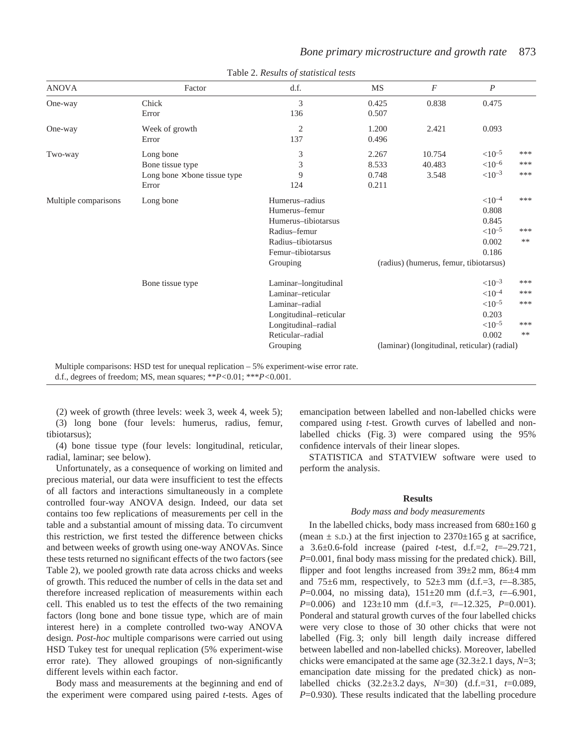| <b>ANOVA</b>         | Factor                              | d.f.                   | <b>MS</b> | $\boldsymbol{F}$                             | $\boldsymbol{P}$     |       |
|----------------------|-------------------------------------|------------------------|-----------|----------------------------------------------|----------------------|-------|
| One-way              | Chick                               | 3                      | 0.425     | 0.838                                        | 0.475                |       |
|                      | Error                               | 136                    | 0.507     |                                              |                      |       |
| One-way              | Week of growth                      | $\overline{2}$         | 1.200     | 2.421                                        | 0.093                |       |
|                      | Error                               | 137                    | 0.496     |                                              |                      |       |
| Two-way              | Long bone                           | 3                      | 2.267     | 10.754                                       | ${<}10^{-5}$         | ***   |
|                      | Bone tissue type                    | 3                      | 8.533     | 40.483                                       | ${<}10^{-6}$         | ***   |
|                      | Long bone $\times$ bone tissue type | 9                      | 0.748     | 3.548                                        | $< 10^{-3}$          | $***$ |
|                      | Error                               | 124                    | 0.211     |                                              |                      |       |
| Multiple comparisons | Long bone                           | Humerus-radius         |           |                                              | ${<}10^{-4}$         | ***   |
|                      |                                     | Humerus-femur          |           |                                              | 0.808                |       |
|                      |                                     | Humerus-tibiotarsus    |           |                                              | 0.845                |       |
|                      |                                     | Radius-femur           |           |                                              | $<$ 10 <sup>-5</sup> | ***   |
|                      |                                     | Radius-tibiotarsus     |           |                                              | 0.002                | $***$ |
|                      |                                     | Femur-tibiotarsus      |           |                                              | 0.186                |       |
|                      |                                     | Grouping               |           | (radius) (humerus, femur, tibiotarsus)       |                      |       |
|                      | Bone tissue type                    | Laminar-longitudinal   |           |                                              | $< 10^{-3}$          | ***   |
|                      |                                     | Laminar-reticular      |           |                                              | ${<}10^{-4}$         | ***   |
|                      |                                     | Laminar-radial         |           |                                              | ${<}10^{-5}$         | ***   |
|                      |                                     | Longitudinal-reticular |           |                                              | 0.203                |       |
|                      |                                     | Longitudinal-radial    |           |                                              | ${<}10^{-5}$         | ***   |
|                      |                                     | Reticular-radial       |           |                                              | 0.002                | $**$  |
|                      |                                     | Grouping               |           | (laminar) (longitudinal, reticular) (radial) |                      |       |

Table 2. *Results of statistical tests*

Multiple comparisons: HSD test for unequal replication – 5% experiment-wise error rate.

d.f., degrees of freedom; MS, mean squares; \*\**P<*0.01; \*\*\**P<*0.001.

(2) week of growth (three levels: week 3, week 4, week 5);

(3) long bone (four levels: humerus, radius, femur, tibiotarsus);

(4) bone tissue type (four levels: longitudinal, reticular, radial, laminar; see below).

Unfortunately, as a consequence of working on limited and precious material, our data were insufficient to test the effects of all factors and interactions simultaneously in a complete controlled four-way ANOVA design. Indeed, our data set contains too few replications of measurements per cell in the table and a substantial amount of missing data. To circumvent this restriction, we first tested the difference between chicks and between weeks of growth using one-way ANOVAs. Since these tests returned no significant effects of the two factors (see Table 2), we pooled growth rate data across chicks and weeks of growth. This reduced the number of cells in the data set and therefore increased replication of measurements within each cell. This enabled us to test the effects of the two remaining factors (long bone and bone tissue type, which are of main interest here) in a complete controlled two-way ANOVA design. *Post-hoc* multiple comparisons were carried out using HSD Tukey test for unequal replication (5% experiment-wise error rate). They allowed groupings of non-significantly different levels within each factor.

Body mass and measurements at the beginning and end of the experiment were compared using paired *t*-tests. Ages of

emancipation between labelled and non-labelled chicks were compared using *t*-test. Growth curves of labelled and nonlabelled chicks (Fig. 3) were compared using the 95% confidence intervals of their linear slopes.

*Bone primary microstructure and growth rate* 873

STATISTICA and STATVIEW software were used to perform the analysis.

#### **Results**

### *Body mass and body measurements*

In the labelled chicks, body mass increased from  $680\pm160$  g (mean  $\pm$  s.D.) at the first injection to 2370 $\pm$ 165 g at sacrifice, a 3.6±0.6-fold increase (paired *t*-test, d.f.=2, *t*=–29.721, *P*=0.001, final body mass missing for the predated chick). Bill, flipper and foot lengths increased from  $39\pm2$  mm,  $86\pm4$  mm and 75 $\pm$ 6 mm, respectively, to 52 $\pm$ 3 mm (d.f.=3, *t*=–8.385, *P*=0.004, no missing data), 151±20 mm (d.f.=3, *t*=–6.901, *P*=0.006) and 123±10 mm (d.f.=3, *t*=–12.325, *P*=0.001). Ponderal and statural growth curves of the four labelled chicks were very close to those of 30 other chicks that were not labelled (Fig. 3; only bill length daily increase differed between labelled and non-labelled chicks). Moreover, labelled chicks were emancipated at the same age  $(32.3\pm 2.1 \text{ days}, N=3;$ emancipation date missing for the predated chick) as nonlabelled chicks (32.2±3.2·days, *N*=30) (d.f.=31, *t*=0.089, *P*=0.930). These results indicated that the labelling procedure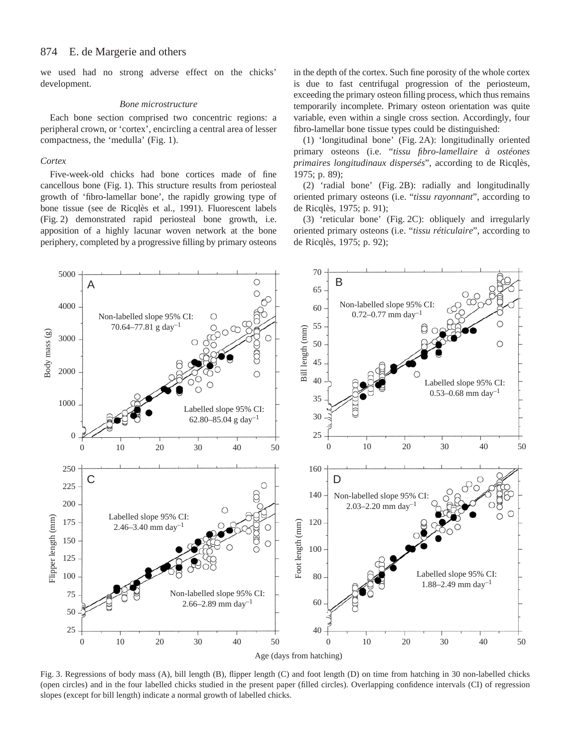we used had no strong adverse effect on the chicks' development.

#### *Bone microstructure*

Each bone section comprised two concentric regions: a peripheral crown, or 'cortex', encircling a central area of lesser compactness, the 'medulla' (Fig. 1).

#### *Cortex*

Five-week-old chicks had bone cortices made of fine cancellous bone (Fig. 1). This structure results from periosteal growth of 'fibro-lamellar bone', the rapidly growing type of bone tissue (see de Ricqlès et al., 1991). Fluorescent labels (Fig. 2) demonstrated rapid periosteal bone growth, i.e. apposition of a highly lacunar woven network at the bone periphery, completed by a progressive filling by primary osteons in the depth of the cortex. Such fine porosity of the whole cortex is due to fast centrifugal progression of the periosteum, exceeding the primary osteon filling process, which thus remains temporarily incomplete. Primary osteon orientation was quite variable, even within a single cross section. Accordingly, four fibro-lamellar bone tissue types could be distinguished:

(1) 'longitudinal bone' (Fig. 2A): longitudinally oriented primary osteons (i.e. "*tissu fibro-lamellaire à ostéones primaires longitudinaux dispersés*", according to de Ricqlès, 1975; p. 89);

(2) 'radial bone' (Fig. 2B): radially and longitudinally oriented primary osteons (i.e. "*tissu rayonnant*", according to de Ricqlès, 1975; p. 91);

(3) 'reticular bone' (Fig. 2C): obliquely and irregularly oriented primary osteons (i.e. "*tissu réticulaire*", according to de Ricqlès, 1975; p. 92);



Fig. 3. Regressions of body mass (A), bill length (B), flipper length (C) and foot length (D) on time from hatching in 30 non-labelled chicks (open circles) and in the four labelled chicks studied in the present paper (filled circles). Overlapping confidence intervals (CI) of regression slopes (except for bill length) indicate a normal growth of labelled chicks.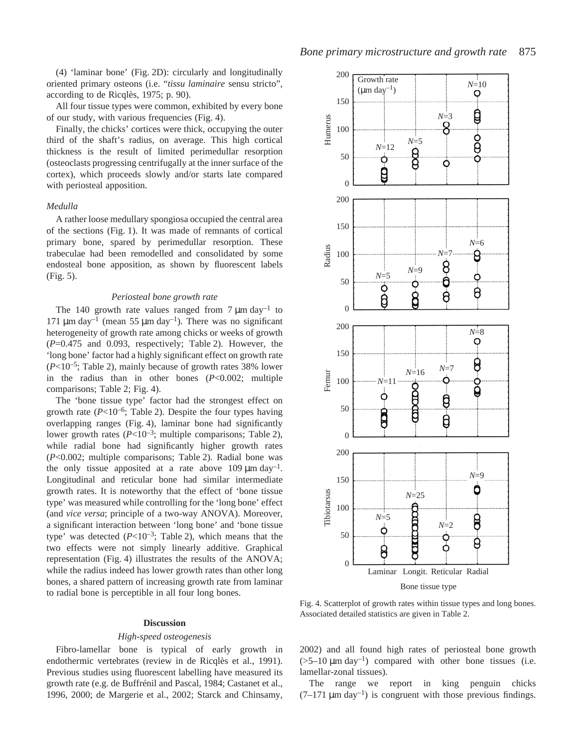(4) 'laminar bone' (Fig. 2D): circularly and longitudinally oriented primary osteons (i.e. "*tissu laminaire* sensu stricto", according to de Ricqlès, 1975; p. 90).

All four tissue types were common, exhibited by every bone of our study, with various frequencies (Fig. 4).

Finally, the chicks' cortices were thick, occupying the outer third of the shaft's radius, on average. This high cortical thickness is the result of limited perimedullar resorption (osteoclasts progressing centrifugally at the inner surface of the cortex), which proceeds slowly and/or starts late compared with periosteal apposition.

### *Medulla*

A rather loose medullary spongiosa occupied the central area of the sections (Fig. 1). It was made of remnants of cortical primary bone, spared by perimedullar resorption. These trabeculae had been remodelled and consolidated by some endosteal bone apposition, as shown by fluorescent labels  $(Fig. 5)$ .

#### *Periosteal bone growth rate*

The 140 growth rate values ranged from  $7 \mu m \text{ day}^{-1}$  to 171  $\mu$ m day<sup>-1</sup> (mean 55  $\mu$ m day<sup>-1</sup>). There was no significant heterogeneity of growth rate among chicks or weeks of growth  $(P=0.475$  and 0.093, respectively; Table 2). However, the 'long bone' factor had a highly significant effect on growth rate  $(P<10^{-5}$ ; Table 2), mainly because of growth rates 38% lower in the radius than in other bones (*P*<0.002; multiple comparisons; Table 2; Fig. 4).

The 'bone tissue type' factor had the strongest effect on growth rate  $(P<10^{-6}$ ; Table 2). Despite the four types having overlapping ranges (Fig. 4), laminar bone had significantly lower growth rates  $(P<10^{-3})$ ; multiple comparisons; Table 2), while radial bone had significantly higher growth rates (*P*<0.002; multiple comparisons; Table 2). Radial bone was the only tissue apposited at a rate above 109  $\mu$ m day<sup>-1</sup>. Longitudinal and reticular bone had similar intermediate growth rates. It is noteworthy that the effect of 'bone tissue type' was measured while controlling for the 'long bone' effect (and *vice versa*; principle of a two-way ANOVA). Moreover, a significant interaction between 'long bone' and 'bone tissue type' was detected  $(P<10^{-3})$ ; Table 2), which means that the two effects were not simply linearly additive. Graphical representation (Fig. 4) illustrates the results of the ANOVA; while the radius indeed has lower growth rates than other long bones, a shared pattern of increasing growth rate from laminar to radial bone is perceptible in all four long bones.

# **Discussion**

#### *High-speed osteogenesis*

Fibro-lamellar bone is typical of early growth in endothermic vertebrates (review in de Ricqlès et al., 1991). Previous studies using fluorescent labelling have measured its growth rate (e.g. de Buffrénil and Pascal, 1984; Castanet et al., 1996, 2000; de Margerie et al., 2002; Starck and Chinsamy,



Bone tissue type

Fig. 4. Scatterplot of growth rates within tissue types and long bones. Associated detailed statistics are given in Table 2.

2002) and all found high rates of periosteal bone growth  $(5-10 \mu m\ day^{-1})$  compared with other bone tissues (i.e. lamellar-zonal tissues).

The range we report in king penguin chicks  $(7-171 \mu m \text{ day}^{-1})$  is congruent with those previous findings.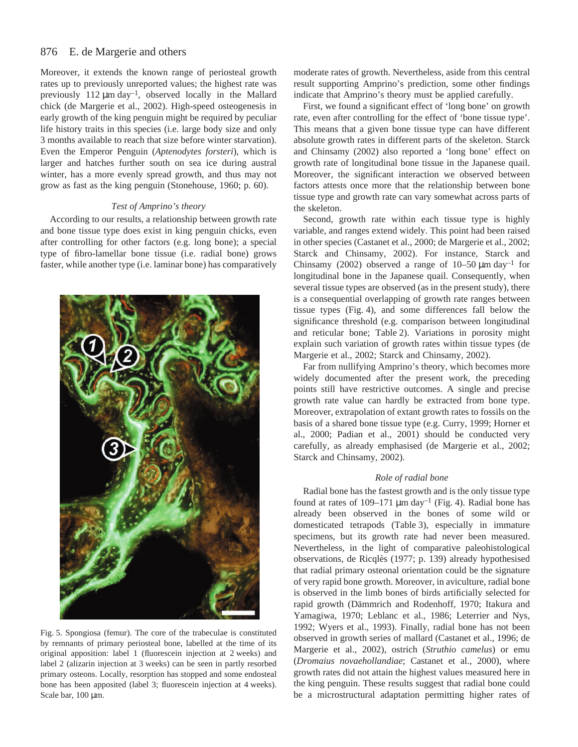#### 876 E. de Margerie and others

Moreover, it extends the known range of periosteal growth rates up to previously unreported values; the highest rate was previously 112  $\mu$ m day<sup>-1</sup>, observed locally in the Mallard chick (de Margerie et al., 2002). High-speed osteogenesis in early growth of the king penguin might be required by peculiar life history traits in this species (i.e. large body size and only 3 months available to reach that size before winter starvation). Even the Emperor Penguin (*Aptenodytes forsteri*), which is larger and hatches further south on sea ice during austral winter, has a more evenly spread growth, and thus may not grow as fast as the king penguin (Stonehouse, 1960; p. 60).

### *Test of Amprino's theory*

According to our results, a relationship between growth rate and bone tissue type does exist in king penguin chicks, even after controlling for other factors (e.g. long bone); a special type of fibro-lamellar bone tissue (i.e. radial bone) grows faster, while another type (i.e. laminar bone) has comparatively



Fig. 5. Spongiosa (femur). The core of the trabeculae is constituted by remnants of primary periosteal bone, labelled at the time of its original apposition: label 1 (fluorescein injection at 2 weeks) and label 2 (alizarin injection at 3 weeks) can be seen in partly resorbed primary osteons. Locally, resorption has stopped and some endosteal bone has been apposited (label 3; fluorescein injection at 4 weeks). Scale bar, 100 µm.

moderate rates of growth. Nevertheless, aside from this central result supporting Amprino's prediction, some other findings indicate that Amprino's theory must be applied carefully.

First, we found a significant effect of 'long bone' on growth rate, even after controlling for the effect of 'bone tissue type'. This means that a given bone tissue type can have different absolute growth rates in different parts of the skeleton. Starck and Chinsamy (2002) also reported a 'long bone' effect on growth rate of longitudinal bone tissue in the Japanese quail. Moreover, the significant interaction we observed between factors attests once more that the relationship between bone tissue type and growth rate can vary somewhat across parts of the skeleton.

Second, growth rate within each tissue type is highly variable, and ranges extend widely. This point had been raised in other species (Castanet et al., 2000; de Margerie et al., 2002; Starck and Chinsamy, 2002). For instance, Starck and Chinsamy (2002) observed a range of  $10-50~\mu$ m day<sup>-1</sup> for longitudinal bone in the Japanese quail. Consequently, when several tissue types are observed (as in the present study), there is a consequential overlapping of growth rate ranges between tissue types (Fig. 4), and some differences fall below the significance threshold (e.g. comparison between longitudinal and reticular bone; Table 2). Variations in porosity might explain such variation of growth rates within tissue types (de Margerie et al., 2002; Starck and Chinsamy, 2002).

Far from nullifying Amprino's theory, which becomes more widely documented after the present work, the preceding points still have restrictive outcomes. A single and precise growth rate value can hardly be extracted from bone type. Moreover, extrapolation of extant growth rates to fossils on the basis of a shared bone tissue type (e.g. Curry, 1999; Horner et al., 2000; Padian et al., 2001) should be conducted very carefully, as already emphasised (de Margerie et al., 2002; Starck and Chinsamy, 2002).

#### *Role of radial bone*

Radial bone has the fastest growth and is the only tissue type found at rates of 109–171  $\mu$ m day<sup>-1</sup> (Fig. 4). Radial bone has already been observed in the bones of some wild or domesticated tetrapods (Table 3), especially in immature specimens, but its growth rate had never been measured. Nevertheless, in the light of comparative paleohistological observations, de Ricqlès (1977; p. 139) already hypothesised that radial primary osteonal orientation could be the signature of very rapid bone growth. Moreover, in aviculture, radial bone is observed in the limb bones of birds artificially selected for rapid growth (Dämmrich and Rodenhoff, 1970; Itakura and Yamagiwa, 1970; Leblanc et al., 1986; Leterrier and Nys, 1992; Wyers et al., 1993). Finally, radial bone has not been observed in growth series of mallard (Castanet et al., 1996; de Margerie et al., 2002), ostrich (*Struthio camelus*) or emu (*Dromaius novaehollandiae*; Castanet et al., 2000), where growth rates did not attain the highest values measured here in the king penguin. These results suggest that radial bone could be a microstructural adaptation permitting higher rates of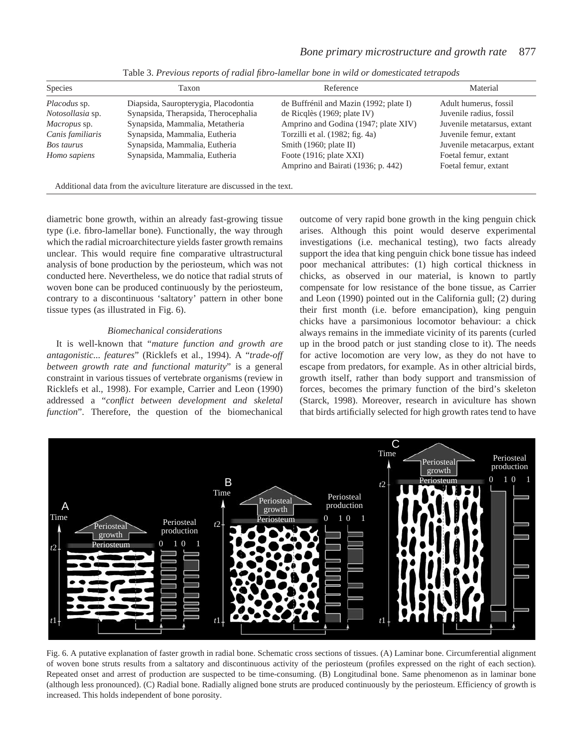| <b>Species</b>      | Taxon                                | Reference                              | Material                    |
|---------------------|--------------------------------------|----------------------------------------|-----------------------------|
| Placodus sp.        | Diapsida, Sauropterygia, Placodontia | de Buffrénil and Mazin (1992; plate I) | Adult humerus, fossil       |
| Notosollasia sp.    | Synapsida, Therapsida, Therocephalia | de Ricqlès (1969; plate IV)            | Juvenile radius, fossil     |
| <i>Macropus</i> sp. | Synapsida, Mammalia, Metatheria      | Amprino and Godina (1947; plate XIV)   | Juvenile metatarsus, extant |
| Canis familiaris    | Synapsida, Mammalia, Eutheria        | Torzilli et al. (1982; fig. 4a)        | Juvenile femur, extant      |
| Bos taurus          | Synapsida, Mammalia, Eutheria        | Smith $(1960;$ plate II)               | Juvenile metacarpus, extant |
| Homo sapiens        | Synapsida, Mammalia, Eutheria        | Foote $(1916;$ plate XXI)              | Foetal femur, extant        |
|                     |                                      | Amprino and Bairati (1936; p. 442)     | Foetal femur, extant        |
|                     |                                      |                                        |                             |

Table 3. *Previous reports of radial fibro-lamellar bone in wild or domesticated tetrapods*

Additional data from the aviculture literature are discussed in the text.

diametric bone growth, within an already fast-growing tissue type (i.e. fibro-lamellar bone). Functionally, the way through which the radial microarchitecture yields faster growth remains unclear. This would require fine comparative ultrastructural analysis of bone production by the periosteum, which was not conducted here. Nevertheless, we do notice that radial struts of woven bone can be produced continuously by the periosteum, contrary to a discontinuous 'saltatory' pattern in other bone tissue types (as illustrated in Fig. 6).

#### *Biomechanical considerations*

It is well-known that "*mature function and growth are antagonistic... features*" (Ricklefs et al., 1994). A "*trade-off between growth rate and functional maturity*" is a general constraint in various tissues of vertebrate organisms (review in Ricklefs et al., 1998). For example, Carrier and Leon (1990) addressed a "*conflict between development and skeletal function*". Therefore, the question of the biomechanical outcome of very rapid bone growth in the king penguin chick arises. Although this point would deserve experimental investigations (i.e. mechanical testing), two facts already support the idea that king penguin chick bone tissue has indeed poor mechanical attributes: (1) high cortical thickness in chicks, as observed in our material, is known to partly compensate for low resistance of the bone tissue, as Carrier and Leon (1990) pointed out in the California gull; (2) during their first month (i.e. before emancipation), king penguin chicks have a parsimonious locomotor behaviour: a chick always remains in the immediate vicinity of its parents (curled up in the brood patch or just standing close to it). The needs for active locomotion are very low, as they do not have to escape from predators, for example. As in other altricial birds, growth itself, rather than body support and transmission of forces, becomes the primary function of the bird's skeleton (Starck, 1998). Moreover, research in aviculture has shown that birds artificially selected for high growth rates tend to have



Fig. 6. A putative explanation of faster growth in radial bone. Schematic cross sections of tissues. (A) Laminar bone. Circumferential alignment of woven bone struts results from a saltatory and discontinuous activity of the periosteum (profiles expressed on the right of each section). Repeated onset and arrest of production are suspected to be time-consuming. (B) Longitudinal bone. Same phenomenon as in laminar bone (although less pronounced). (C) Radial bone. Radially aligned bone struts are produced continuously by the periosteum. Efficiency of growth is increased. This holds independent of bone porosity.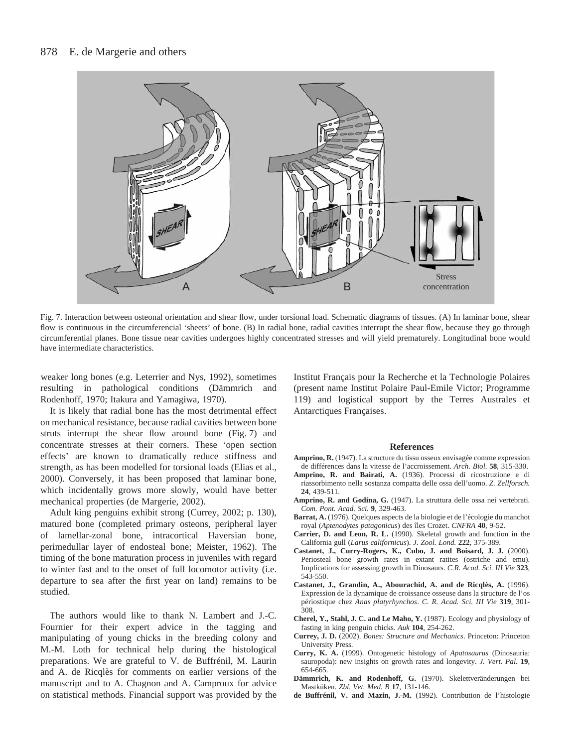

Fig. 7. Interaction between osteonal orientation and shear flow, under torsional load. Schematic diagrams of tissues. (A) In laminar bone, shear flow is continuous in the circumferencial 'sheets' of bone. (B) In radial bone, radial cavities interrupt the shear flow, because they go through circumferential planes. Bone tissue near cavities undergoes highly concentrated stresses and will yield prematurely. Longitudinal bone would have intermediate characteristics.

weaker long bones (e.g. Leterrier and Nys, 1992), sometimes resulting in pathological conditions (Dämmrich and Rodenhoff, 1970; Itakura and Yamagiwa, 1970).

It is likely that radial bone has the most detrimental effect on mechanical resistance, because radial cavities between bone struts interrupt the shear flow around bone  $(Fig. 7)$  and concentrate stresses at their corners. These 'open section effects' are known to dramatically reduce stiffness and strength, as has been modelled for torsional loads (Elias et al., 2000). Conversely, it has been proposed that laminar bone, which incidentally grows more slowly, would have better mechanical properties (de Margerie, 2002).

Adult king penguins exhibit strong (Currey, 2002; p. 130), matured bone (completed primary osteons, peripheral layer of lamellar-zonal bone, intracortical Haversian bone, perimedullar layer of endosteal bone; Meister, 1962). The timing of the bone maturation process in juveniles with regard to winter fast and to the onset of full locomotor activity (i.e. departure to sea after the first year on land) remains to be studied.

The authors would like to thank N. Lambert and J.-C. Fournier for their expert advice in the tagging and manipulating of young chicks in the breeding colony and M.-M. Loth for technical help during the histological preparations. We are grateful to V. de Buffrénil, M. Laurin and A. de Ricqlès for comments on earlier versions of the manuscript and to A. Chagnon and A. Camproux for advice on statistical methods. Financial support was provided by the Institut Français pour la Recherche et la Technologie Polaires (present name Institut Polaire Paul-Emile Victor; Programme 119) and logistical support by the Terres Australes et Antarctiques Françaises.

#### **References**

- **Amprino, R.** (1947). La structure du tissu osseux envisagée comme expression de différences dans la vitesse de l'accroissement. *Arch. Biol.* **58**, 315-330.
- **Amprino, R. and Bairati, A.** (1936). Processi di ricostruzione e di riassorbimento nella sostanza compatta delle ossa dell'uomo. *Z. Zellforsch.* **24**, 439-511.
- **Amprino, R. and Godina, G.** (1947). La struttura delle ossa nei vertebrati. *Com. Pont. Acad. Sci.* **9**, 329-463.
- **Barrat, A.** (1976). Quelques aspects de la biologie et de l'écologie du manchot royal (*Aptenodytes patagonicus*) des îles Crozet. *CNFRA* **40**, 9-52.
- **Carrier, D. and Leon, R. L.** (1990). Skeletal growth and function in the California gull (*Larus californicus*). *J. Zool. Lond.* **222**, 375-389.
- **Castanet, J., Curry-Rogers, K., Cubo, J. and Boisard, J. J.** (2000). Periosteal bone growth rates in extant ratites (ostriche and emu). Implications for assessing growth in Dinosaurs. *C.R. Acad. Sci. III Vie* **323**, 543-550.
- **Castanet, J., Grandin, A., Abourachid, A. and de Ricqlès, A.** (1996). Expression de la dynamique de croissance osseuse dans la structure de l'os périostique chez *Anas platyrhynchos*. *C. R. Acad. Sci. III Vie* **319**, 301- 308.
- **Cherel, Y., Stahl, J. C. and Le Maho, Y.** (1987). Ecology and physiology of fasting in king penguin chicks. *Auk* **104**, 254-262.
- **Currey, J. D.** (2002). *Bones: Structure and Mechanics*. Princeton: Princeton University Press.
- **Curry, K. A.** (1999). Ontogenetic histology of *Apatosaurus* (Dinosauria: sauropoda): new insights on growth rates and longevity. *J. Vert. Pal.* **19**, 654-665.
- **Dämmrich, K. and Rodenhoff, G.** (1970). Skelettveränderungen bei Mastküken. *Zbl. Vet. Med. B* **17**, 131-146.
- **de Buffrénil, V. and Mazin, J.-M.** (1992). Contribution de l'histologie